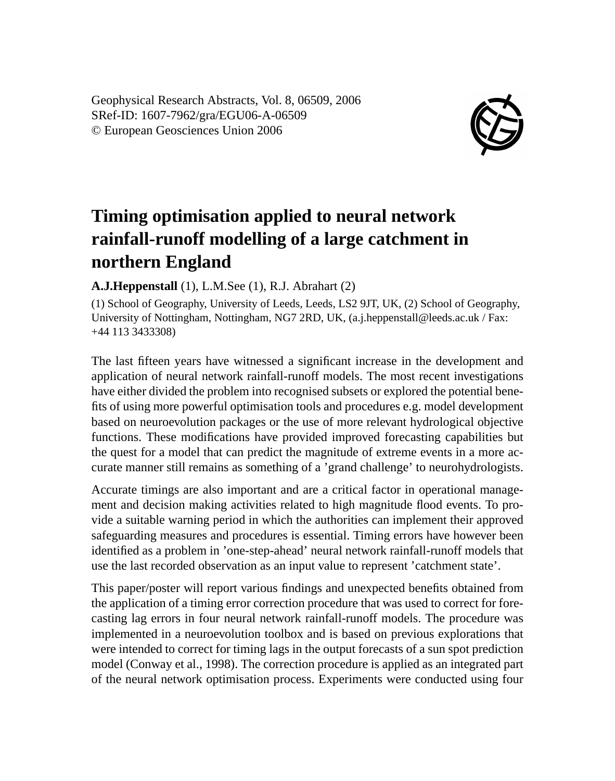Geophysical Research Abstracts, Vol. 8, 06509, 2006 SRef-ID: 1607-7962/gra/EGU06-A-06509 © European Geosciences Union 2006



## **Timing optimisation applied to neural network rainfall-runoff modelling of a large catchment in northern England**

## **A.J.Heppenstall** (1), L.M.See (1), R.J. Abrahart (2)

(1) School of Geography, University of Leeds, Leeds, LS2 9JT, UK, (2) School of Geography, University of Nottingham, Nottingham, NG7 2RD, UK, (a.j.heppenstall@leeds.ac.uk / Fax: +44 113 3433308)

The last fifteen years have witnessed a significant increase in the development and application of neural network rainfall-runoff models. The most recent investigations have either divided the problem into recognised subsets or explored the potential benefits of using more powerful optimisation tools and procedures e.g. model development based on neuroevolution packages or the use of more relevant hydrological objective functions. These modifications have provided improved forecasting capabilities but the quest for a model that can predict the magnitude of extreme events in a more accurate manner still remains as something of a 'grand challenge' to neurohydrologists.

Accurate timings are also important and are a critical factor in operational management and decision making activities related to high magnitude flood events. To provide a suitable warning period in which the authorities can implement their approved safeguarding measures and procedures is essential. Timing errors have however been identified as a problem in 'one-step-ahead' neural network rainfall-runoff models that use the last recorded observation as an input value to represent 'catchment state'.

This paper/poster will report various findings and unexpected benefits obtained from the application of a timing error correction procedure that was used to correct for forecasting lag errors in four neural network rainfall-runoff models. The procedure was implemented in a neuroevolution toolbox and is based on previous explorations that were intended to correct for timing lags in the output forecasts of a sun spot prediction model (Conway et al., 1998). The correction procedure is applied as an integrated part of the neural network optimisation process. Experiments were conducted using four